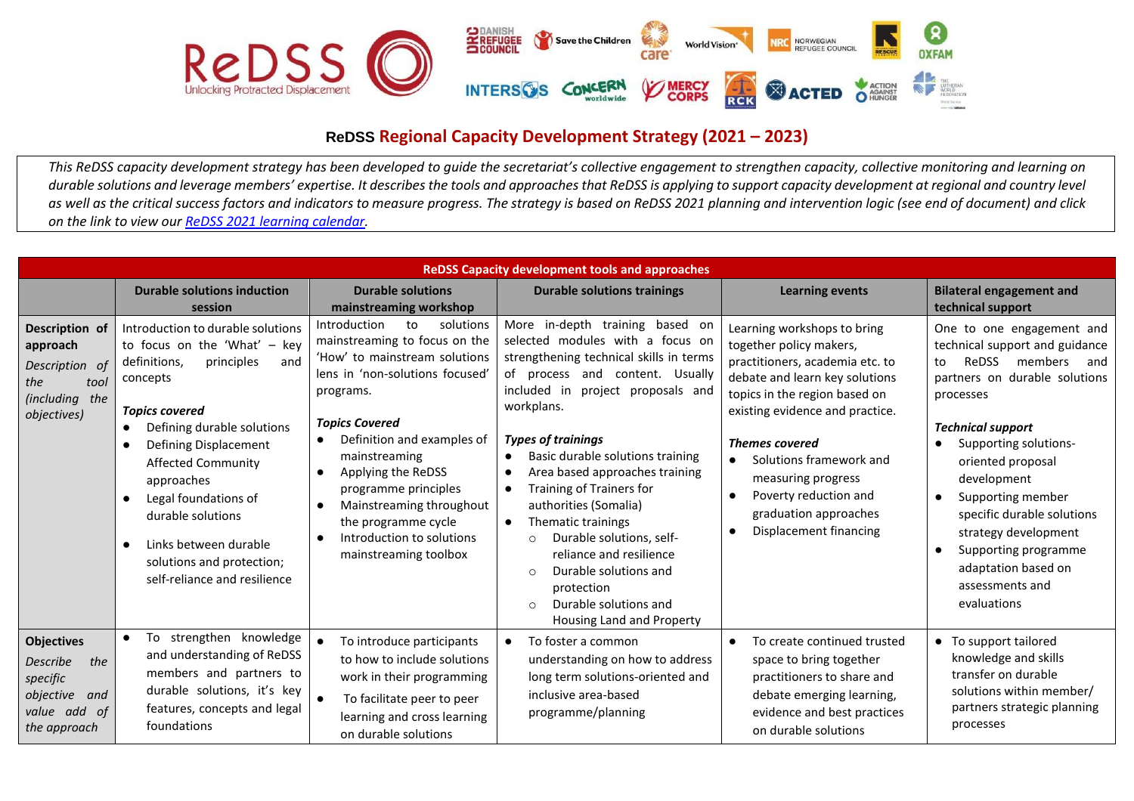

## **ReDSS Regional Capacity Development Strategy (2021 – 2023)**

*This ReDSS capacity development strategy has been developed to guide the secretariat's collective engagement to strengthen capacity, collective monitoring and learning on durable solutions and leverage members' expertise. It describes the tools and approaches that ReDSS is applying to support capacity development at regional and country level as well as the critical success factors and indicators to measure progress. The strategy is based on ReDSS 2021 planning and intervention logic (see end of document) and click on the link to view ou[r ReDSS 2021 learning calendar.](https://docs.google.com/spreadsheets/d/1zZ_94fdgjpVjnejUt91Q8vPrdiOZcXAZFHfbH40XxM4/edit?usp=sharing)* 

| <b>ReDSS Capacity development tools and approaches</b>                                                    |                                                                                                                                                                                                                                                                                                                                                                                                                                      |                                                                                                                                                                                                                                                                                                                                                                                                                         |                                                                                                                                                                                                                                                                                                                                                                                                                                                                                                                                                                                                     |                                                                                                                                                                                                                                                                                                                                                                                 |                                                                                                                                                                                                                                                                                                                                                                                                                           |  |
|-----------------------------------------------------------------------------------------------------------|--------------------------------------------------------------------------------------------------------------------------------------------------------------------------------------------------------------------------------------------------------------------------------------------------------------------------------------------------------------------------------------------------------------------------------------|-------------------------------------------------------------------------------------------------------------------------------------------------------------------------------------------------------------------------------------------------------------------------------------------------------------------------------------------------------------------------------------------------------------------------|-----------------------------------------------------------------------------------------------------------------------------------------------------------------------------------------------------------------------------------------------------------------------------------------------------------------------------------------------------------------------------------------------------------------------------------------------------------------------------------------------------------------------------------------------------------------------------------------------------|---------------------------------------------------------------------------------------------------------------------------------------------------------------------------------------------------------------------------------------------------------------------------------------------------------------------------------------------------------------------------------|---------------------------------------------------------------------------------------------------------------------------------------------------------------------------------------------------------------------------------------------------------------------------------------------------------------------------------------------------------------------------------------------------------------------------|--|
|                                                                                                           | <b>Durable solutions induction</b><br>session                                                                                                                                                                                                                                                                                                                                                                                        | <b>Durable solutions</b><br>mainstreaming workshop                                                                                                                                                                                                                                                                                                                                                                      | <b>Durable solutions trainings</b>                                                                                                                                                                                                                                                                                                                                                                                                                                                                                                                                                                  | <b>Learning events</b>                                                                                                                                                                                                                                                                                                                                                          | <b>Bilateral engagement and</b><br>technical support                                                                                                                                                                                                                                                                                                                                                                      |  |
| Description of<br>approach<br>Description of<br>the<br>tool<br>(including the<br>objectives)              | Introduction to durable solutions<br>to focus on the 'What' - key<br>definitions,<br>principles<br>and<br>concepts<br><b>Topics covered</b><br>Defining durable solutions<br>$\bullet$<br>Defining Displacement<br>$\bullet$<br><b>Affected Community</b><br>approaches<br>Legal foundations of<br>$\bullet$<br>durable solutions<br>Links between durable<br>$\bullet$<br>solutions and protection;<br>self-reliance and resilience | Introduction<br>solutions<br>to<br>mainstreaming to focus on the<br>'How' to mainstream solutions<br>lens in 'non-solutions focused'<br>programs.<br><b>Topics Covered</b><br>Definition and examples of<br>mainstreaming<br>Applying the ReDSS<br>$\bullet$<br>programme principles<br>Mainstreaming throughout<br>$\bullet$<br>the programme cycle<br>Introduction to solutions<br>$\bullet$<br>mainstreaming toolbox | More in-depth training based on<br>selected modules with a focus on<br>strengthening technical skills in terms<br>of process and content. Usually<br>included in project proposals and<br>workplans.<br><b>Types of trainings</b><br>Basic durable solutions training<br>Area based approaches training<br>Training of Trainers for<br>$\bullet$<br>authorities (Somalia)<br>Thematic trainings<br>$\bullet$<br>Durable solutions, self-<br>$\circ$<br>reliance and resilience<br>Durable solutions and<br>$\Omega$<br>protection<br>Durable solutions and<br>$\Omega$<br>Housing Land and Property | Learning workshops to bring<br>together policy makers,<br>practitioners, academia etc. to<br>debate and learn key solutions<br>topics in the region based on<br>existing evidence and practice.<br><b>Themes covered</b><br>Solutions framework and<br>measuring progress<br>Poverty reduction and<br>$\bullet$<br>graduation approaches<br>Displacement financing<br>$\bullet$ | One to one engagement and<br>technical support and guidance<br>ReDSS<br>members<br>and<br>to<br>partners on durable solutions<br>processes<br><b>Technical support</b><br>Supporting solutions-<br>oriented proposal<br>development<br>Supporting member<br>$\bullet$<br>specific durable solutions<br>strategy development<br>Supporting programme<br>$\bullet$<br>adaptation based on<br>assessments and<br>evaluations |  |
| <b>Objectives</b><br>Describe<br>the<br>specific<br>objective<br>and<br>value add<br>- of<br>the approach | strengthen knowledge<br>To<br>$\bullet$<br>and understanding of ReDSS<br>members and partners to<br>durable solutions, it's key<br>features, concepts and legal<br>foundations                                                                                                                                                                                                                                                       | To introduce participants<br>to how to include solutions<br>work in their programming<br>To facilitate peer to peer<br>learning and cross learning<br>on durable solutions                                                                                                                                                                                                                                              | To foster a common<br>$\bullet$<br>understanding on how to address<br>long term solutions-oriented and<br>inclusive area-based<br>programme/planning                                                                                                                                                                                                                                                                                                                                                                                                                                                | To create continued trusted<br>$\bullet$<br>space to bring together<br>practitioners to share and<br>debate emerging learning,<br>evidence and best practices<br>on durable solutions                                                                                                                                                                                           | • To support tailored<br>knowledge and skills<br>transfer on durable<br>solutions within member/<br>partners strategic planning<br>processes                                                                                                                                                                                                                                                                              |  |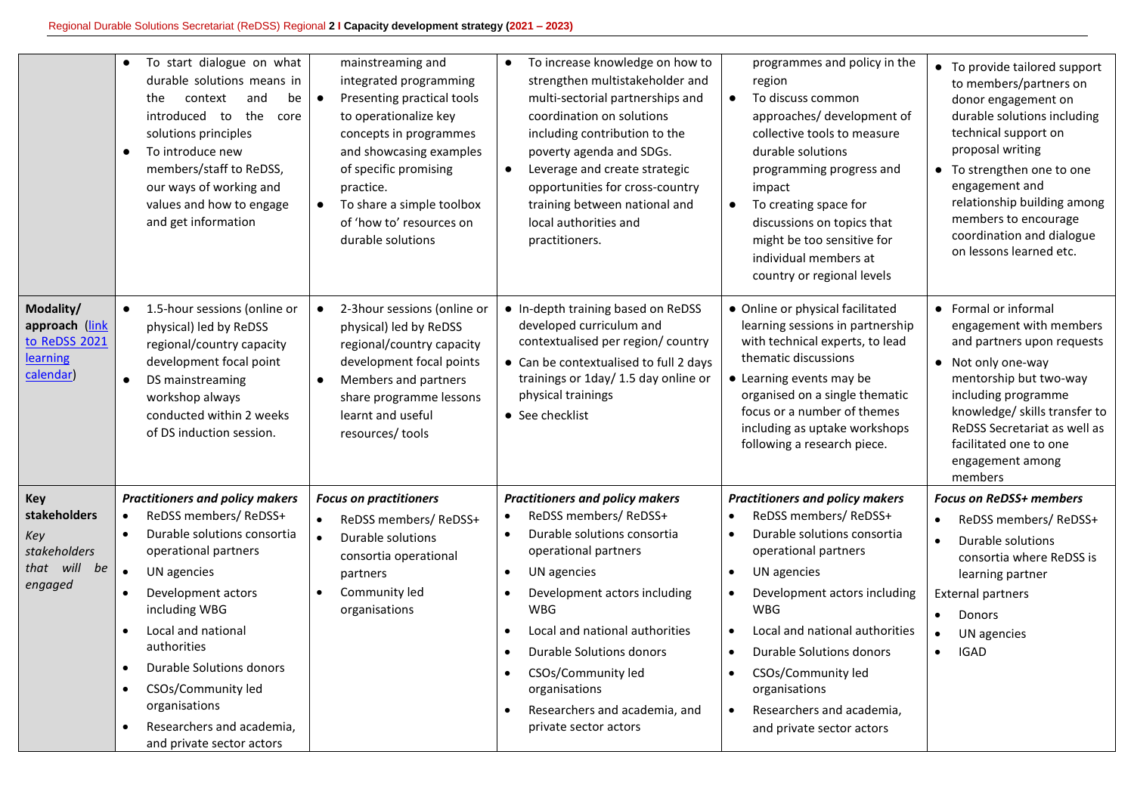L

|                                                                                     | To start dialogue on what<br>durable solutions means in<br>context<br>and<br>the<br>be<br>introduced to the<br>core<br>solutions principles<br>To introduce new<br>$\bullet$<br>members/staff to ReDSS,<br>our ways of working and<br>values and how to engage<br>and get information                                                                                                                                                    | mainstreaming and<br>integrated programming<br>Presenting practical tools<br>$\bullet$<br>to operationalize key<br>concepts in programmes<br>and showcasing examples<br>of specific promising<br>practice.<br>To share a simple toolbox<br>$\bullet$<br>of 'how to' resources on<br>durable solutions | To increase knowledge on how to<br>$\bullet$<br>strengthen multistakeholder and<br>multi-sectorial partnerships and<br>coordination on solutions<br>including contribution to the<br>poverty agenda and SDGs.<br>Leverage and create strategic<br>$\bullet$<br>opportunities for cross-country<br>training between national and<br>local authorities and<br>practitioners.                            | programmes and policy in the<br>region<br>To discuss common<br>$\bullet$<br>approaches/ development of<br>collective tools to measure<br>durable solutions<br>programming progress and<br>impact<br>To creating space for<br>$\bullet$<br>discussions on topics that<br>might be too sensitive for<br>individual members at<br>country or regional levels                                                                                           | • To provide tailored support<br>to members/partners on<br>donor engagement on<br>durable solutions including<br>technical support on<br>proposal writing<br>• To strengthen one to one<br>engagement and<br>relationship building among<br>members to encourage<br>coordination and dialogue<br>on lessons learned etc. |
|-------------------------------------------------------------------------------------|------------------------------------------------------------------------------------------------------------------------------------------------------------------------------------------------------------------------------------------------------------------------------------------------------------------------------------------------------------------------------------------------------------------------------------------|-------------------------------------------------------------------------------------------------------------------------------------------------------------------------------------------------------------------------------------------------------------------------------------------------------|-------------------------------------------------------------------------------------------------------------------------------------------------------------------------------------------------------------------------------------------------------------------------------------------------------------------------------------------------------------------------------------------------------|-----------------------------------------------------------------------------------------------------------------------------------------------------------------------------------------------------------------------------------------------------------------------------------------------------------------------------------------------------------------------------------------------------------------------------------------------------|--------------------------------------------------------------------------------------------------------------------------------------------------------------------------------------------------------------------------------------------------------------------------------------------------------------------------|
| Modality/<br>approach (link<br>to ReDSS 2021<br>learning<br>calendar)               | 1.5-hour sessions (online or<br>$\bullet$<br>physical) led by ReDSS<br>regional/country capacity<br>development focal point<br>DS mainstreaming<br>$\bullet$<br>workshop always<br>conducted within 2 weeks<br>of DS induction session.                                                                                                                                                                                                  | 2-3hour sessions (online or<br>$\bullet$<br>physical) led by ReDSS<br>regional/country capacity<br>development focal points<br>Members and partners<br>$\bullet$<br>share programme lessons<br>learnt and useful<br>resources/ tools                                                                  | • In-depth training based on ReDSS<br>developed curriculum and<br>contextualised per region/ country<br>• Can be contextualised to full 2 days<br>trainings or 1day/ 1.5 day online or<br>physical trainings<br>• See checklist                                                                                                                                                                       | • Online or physical facilitated<br>learning sessions in partnership<br>with technical experts, to lead<br>thematic discussions<br>• Learning events may be<br>organised on a single thematic<br>focus or a number of themes<br>including as uptake workshops<br>following a research piece.                                                                                                                                                        | • Formal or informal<br>engagement with members<br>and partners upon requests<br>Not only one-way<br>mentorship but two-way<br>including programme<br>knowledge/ skills transfer to<br>ReDSS Secretariat as well as<br>facilitated one to one<br>engagement among<br>members                                             |
| Key<br><b>stakeholders</b><br>Key<br><b>stakeholders</b><br>that will be<br>engaged | <b>Practitioners and policy makers</b><br>ReDSS members/ReDSS+<br>$\bullet$<br>Durable solutions consortia<br>$\bullet$<br>operational partners<br>$\bullet$<br>UN agencies<br>Development actors<br>$\bullet$<br>including WBG<br>Local and national<br>$\bullet$<br>authorities<br>Durable Solutions donors<br>$\bullet$<br>CSOs/Community led<br>$\bullet$<br>organisations<br>Researchers and academia,<br>and private sector actors | <b>Focus on practitioners</b><br>ReDSS members/ReDSS+<br>$\bullet$<br>$\bullet$<br>Durable solutions<br>consortia operational<br>partners<br>Community led<br>$\bullet$<br>organisations                                                                                                              | <b>Practitioners and policy makers</b><br>ReDSS members/ReDSS+<br>Durable solutions consortia<br>$\bullet$<br>operational partners<br>UN agencies<br>$\bullet$<br>Development actors including<br>$\bullet$<br><b>WBG</b><br>Local and national authorities<br>$\bullet$<br>Durable Solutions donors<br>CSOs/Community led<br>organisations<br>Researchers and academia, and<br>private sector actors | <b>Practitioners and policy makers</b><br>ReDSS members/ ReDSS+<br>$\bullet$<br>Durable solutions consortia<br>$\bullet$<br>operational partners<br>UN agencies<br>$\bullet$<br>Development actors including<br>$\bullet$<br>WBG<br>Local and national authorities<br>$\bullet$<br>Durable Solutions donors<br>$\bullet$<br>CSOs/Community led<br>$\bullet$<br>organisations<br>Researchers and academia,<br>$\bullet$<br>and private sector actors | <b>Focus on ReDSS+ members</b><br>ReDSS members/ReDSS+<br>Durable solutions<br>consortia where ReDSS is<br>learning partner<br><b>External partners</b><br>Donors<br>$\bullet$<br>UN agencies<br><b>IGAD</b>                                                                                                             |